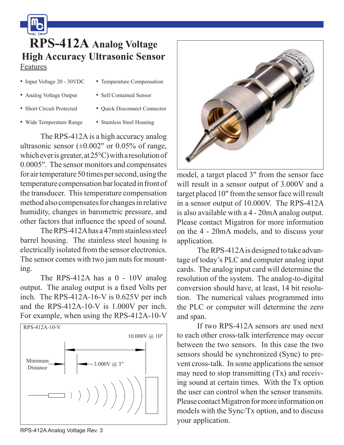$\mathbf{m}$ **RPS-412A Analog Voltage High Accuracy Ultrasonic Sensor** Features

- Input Voltage 20 30VDC
- Temperature Compensation
- Analog Voltage Output
- Self Contained Sensor
- Short Circuit Protected

• Wide Temperature Range

• Stainless Steel Housing

• Quick Disconnect Connector

The RPS-412A is a high accuracy analog ultrasonic sensor  $(\pm 0.002$ " or 0.05% of range, which ever is greater, at 25°C) with a resolution of 0.0005". The sensor monitors and compensates for air temperature 50 times per second, using the temperature compensation bar located in front of the transducer. This temperature compensation method also compensates for changes in relative humidity, changes in barometric pressure, and other factors that influence the speed of sound.

The RPS-412A has a 47mm stainless steel barrel housing. The stainless steel housing is electrically isolated from the sensor electronics. The sensor comes with two jam nuts for mounting.

The RPS-412A has a 0 - 10V analog output. The analog output is a fixed Volts per inch. The RPS-412A-16-V is 0.625V per inch and the RPS-412A-10-V is 1.000V per inch. For example, when using the RPS-412A-10-V





model, a target placed 3" from the sensor face will result in a sensor output of 3.000V and a target placed 10" from the sensor face will result in a sensor output of 10.000V. The RPS-412A is also available with a 4 - 20mA analog output. Please contact Migatron for more information on the 4 - 20mA models, and to discuss your application.

The RPS-412A is designed to take advantage of today's PLC and computer analog input cards. The analog input card will determine the resolution of the system. The analog-to-digital conversion should have, at least, 14 bit resolution. The numerical values programmed into the PLC or computer will determine the zero and span.

If two RPS-412A sensors are used next to each other cross-talk interference may occur between the two sensors. In this case the two sensors should be synchronized (Sync) to prevent cross-talk. In some applications the sensor may need to stop transmitting (Tx) and receiving sound at certain times. With the Tx option the user can control when the sensor transmits. Please contact Migatron for more information on models with the Sync/Tx option, and to discuss your application.

RPS-412A Analog Voltage Rev. 3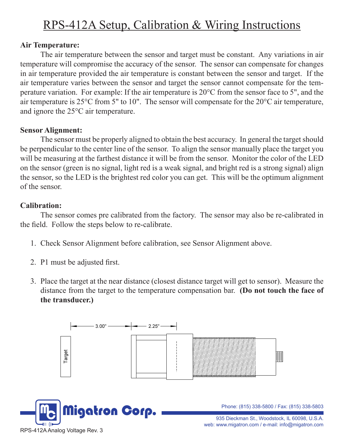# RPS-412A Setup, Calibration & Wiring Instructions

# **Air Temperature:**

The air temperature between the sensor and target must be constant. Any variations in air temperature will compromise the accuracy of the sensor. The sensor can compensate for changes in air temperature provided the air temperature is constant between the sensor and target. If the air temperature varies between the sensor and target the sensor cannot compensate for the temperature variation. For example: If the air temperature is 20°C from the sensor face to 5", and the air temperature is 25°C from 5" to 10". The sensor will compensate for the 20°C air temperature, and ignore the 25°C air temperature.

### **Sensor Alignment:**

The sensor must be properly aligned to obtain the best accuracy. In general the target should be perpendicular to the center line of the sensor. To align the sensor manually place the target you will be measuring at the farthest distance it will be from the sensor. Monitor the color of the LED on the sensor (green is no signal, light red is a weak signal, and bright red is a strong signal) align the sensor, so the LED is the brightest red color you can get. This will be the optimum alignment of the sensor. TRIAL MODE = a valid license wird property of this property of the keywords property of this PDF for more information.<br>This PDF for more information.

# **Calibration:**

The sensor comes pre calibrated from the factory. The sensor may also be re-calibrated in the field. Follow the steps below to re-calibrate.

- 1. Check Sensor Alignment before calibration, see Sensor Alignment above.
- 2. P1 must be adjusted first.
- 3. Place the target at the near distance (closest distance target will get to sensor). Measure the distance from the target to the temperature compensation bar. **(Do not touch the face of the transducer.)**

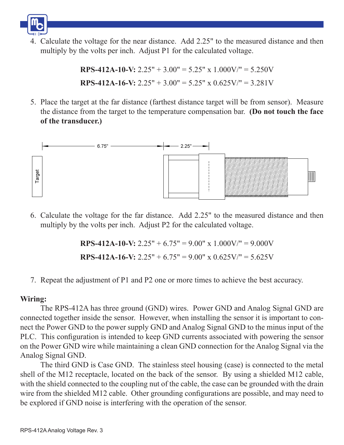

4. Calculate the voltage for the near distance. Add 2.25" to the measured distance and then multiply by the volts per inch. Adjust P1 for the calculated voltage.

> **RPS-412A-10-V:**  $2.25'' + 3.00'' = 5.25'' \times 1.000$ V/" =  $5.250$ V **RPS-412A-16-V:**  $2.25'' + 3.00'' = 5.25''$  x  $0.625V''' = 3.281V$

5. Place the target at the far distance (farthest distance target will be from sensor). Measure the distance from the target to the temperature compensation bar. **(Do not touch the face of the transducer.)**



6. Calculate the voltage for the far distance. Add 2.25" to the measured distance and then multiply by the volts per inch. Adjust P2 for the calculated voltage.

**RPS-412A-10-V:** 2.25" + 6.75" = 9.00" x 1.000V/" = 9.000V

**RPS-412A-16-V:** 2.25" + 6.75" =  $9.00$ " x 0.625V/" =  $5.625V$ 

7. Repeat the adjustment of P1 and P2 one or more times to achieve the best accuracy.

### **Wiring:**

The RPS-412A has three ground (GND) wires. Power GND and Analog Signal GND are connected together inside the sensor. However, when installing the sensor it is important to connect the Power GND to the power supply GND and Analog Signal GND to the minus input of the PLC. This configuration is intended to keep GND currents associated with powering the sensor on the Power GND wire while maintaining a clean GND connection for the Analog Signal via the Analog Signal GND.

The third GND is Case GND. The stainless steel housing (case) is connected to the metal shell of the M12 receptacle, located on the back of the sensor. By using a shielded M12 cable, with the shield connected to the coupling nut of the cable, the case can be grounded with the drain wire from the shielded M12 cable. Other grounding configurations are possible, and may need to be explored if GND noise is interfering with the operation of the sensor.